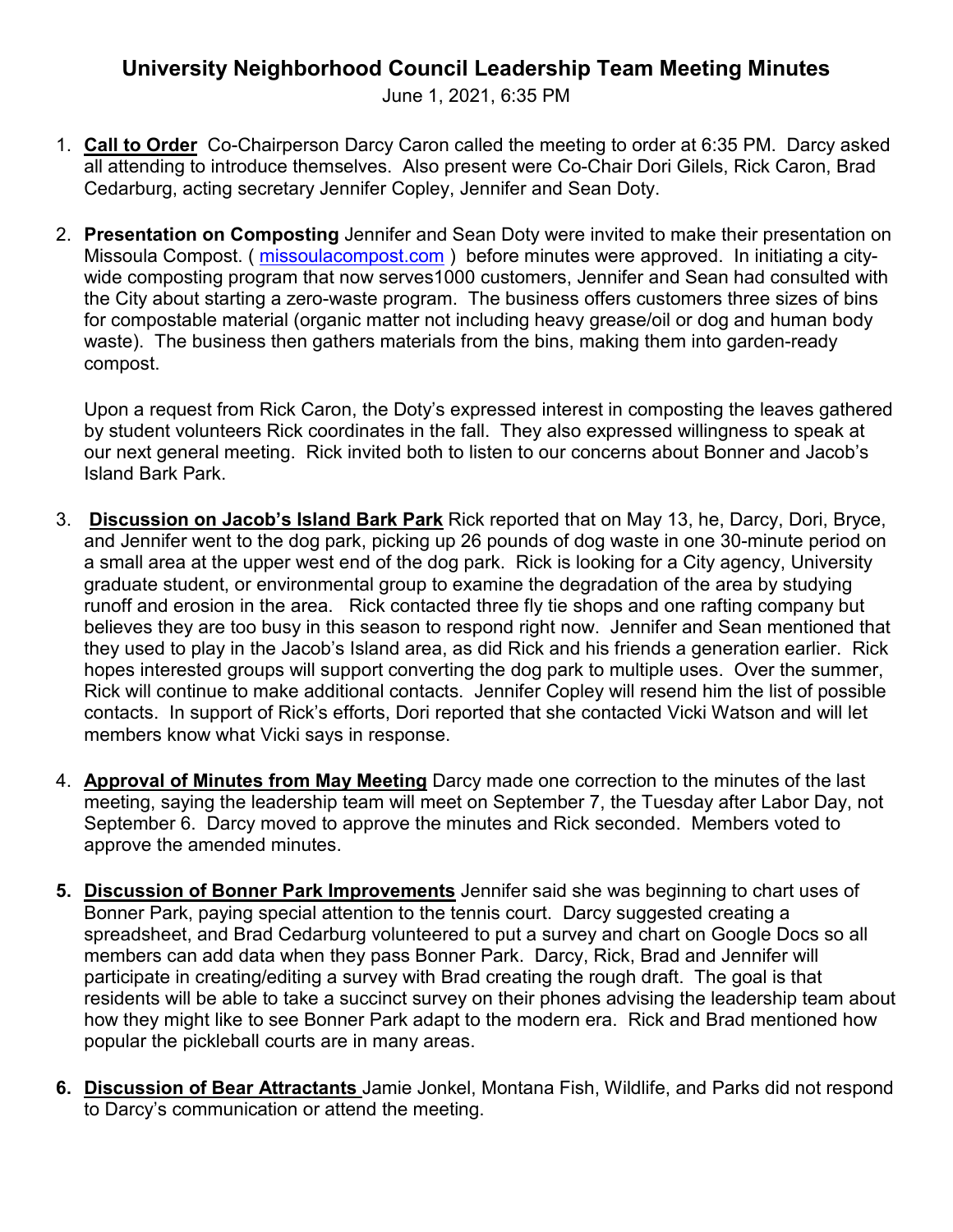## **University Neighborhood Council Leadership Team Meeting Minutes**

June 1, 2021, 6:35 PM

- 1. **Call to Order** Co-Chairperson Darcy Caron called the meeting to order at 6:35 PM. Darcy asked all attending to introduce themselves. Also present were Co-Chair Dori Gilels, Rick Caron, Brad Cedarburg, acting secretary Jennifer Copley, Jennifer and Sean Doty.
- 2. **Presentation on Composting** Jennifer and Sean Doty were invited to make their presentation on Missoula Compost. (*missoulacompost.com*) before minutes were approved. In initiating a citywide composting program that now serves1000 customers, Jennifer and Sean had consulted with the City about starting a zero-waste program. The business offers customers three sizes of bins for compostable material (organic matter not including heavy grease/oil or dog and human body waste). The business then gathers materials from the bins, making them into garden-ready compost.

Upon a request from Rick Caron, the Doty's expressed interest in composting the leaves gathered by student volunteers Rick coordinates in the fall. They also expressed willingness to speak at our next general meeting. Rick invited both to listen to our concerns about Bonner and Jacob's Island Bark Park.

- 3. **Discussion on Jacob's Island Bark Park** Rick reported that on May 13, he, Darcy, Dori, Bryce, and Jennifer went to the dog park, picking up 26 pounds of dog waste in one 30-minute period on a small area at the upper west end of the dog park. Rick is looking for a City agency, University graduate student, or environmental group to examine the degradation of the area by studying runoff and erosion in the area. Rick contacted three fly tie shops and one rafting company but believes they are too busy in this season to respond right now. Jennifer and Sean mentioned that they used to play in the Jacob's Island area, as did Rick and his friends a generation earlier. Rick hopes interested groups will support converting the dog park to multiple uses. Over the summer, Rick will continue to make additional contacts. Jennifer Copley will resend him the list of possible contacts. In support of Rick's efforts, Dori reported that she contacted Vicki Watson and will let members know what Vicki says in response.
- 4. **Approval of Minutes from May Meeting** Darcy made one correction to the minutes of the last meeting, saying the leadership team will meet on September 7, the Tuesday after Labor Day, not September 6. Darcy moved to approve the minutes and Rick seconded. Members voted to approve the amended minutes.
- **5. Discussion of Bonner Park Improvements** Jennifer said she was beginning to chart uses of Bonner Park, paying special attention to the tennis court. Darcy suggested creating a spreadsheet, and Brad Cedarburg volunteered to put a survey and chart on Google Docs so all members can add data when they pass Bonner Park. Darcy, Rick, Brad and Jennifer will participate in creating/editing a survey with Brad creating the rough draft. The goal is that residents will be able to take a succinct survey on their phones advising the leadership team about how they might like to see Bonner Park adapt to the modern era. Rick and Brad mentioned how popular the pickleball courts are in many areas.
- **6. Discussion of Bear Attractants** Jamie Jonkel, Montana Fish, Wildlife, and Parks did not respond to Darcy's communication or attend the meeting.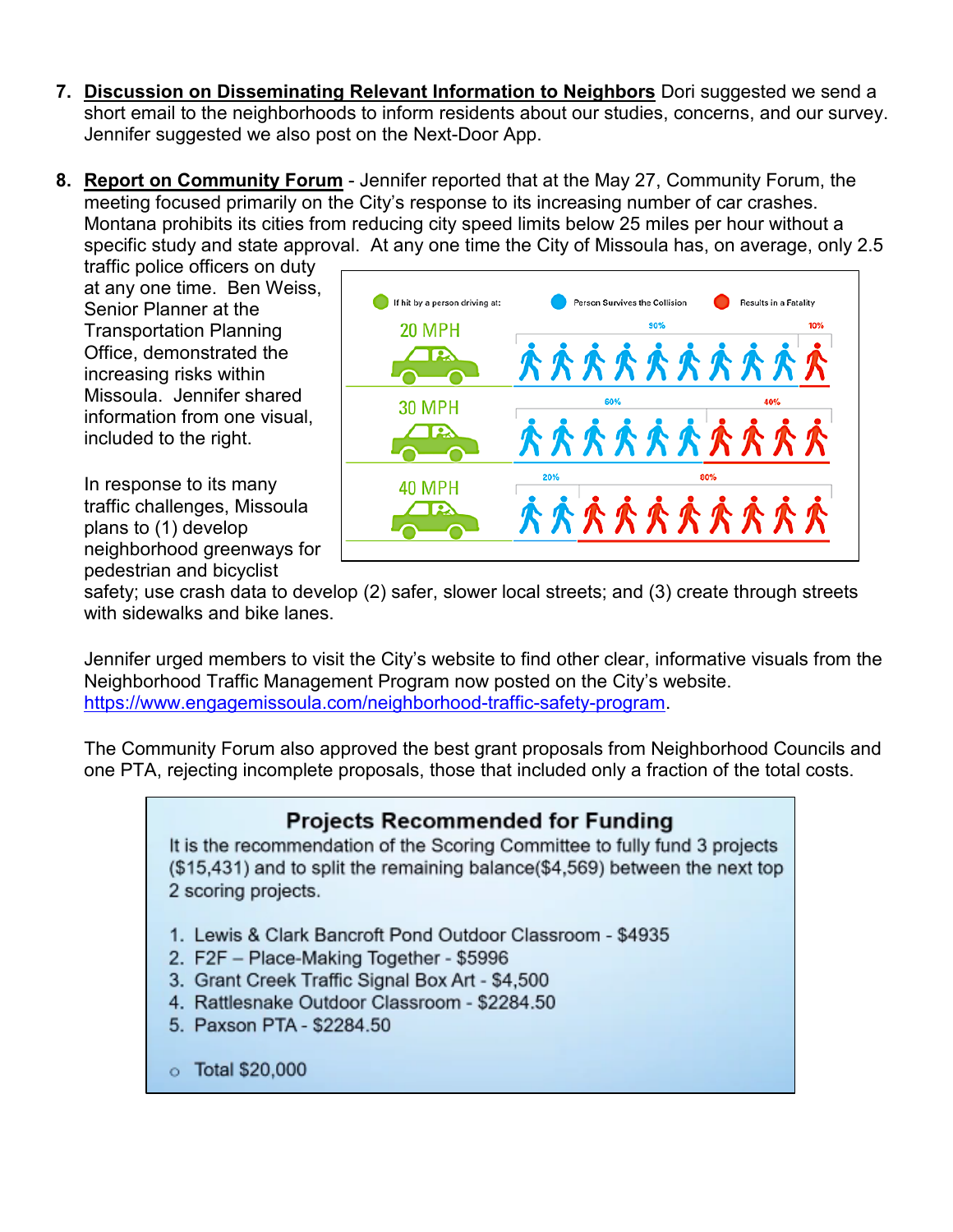- **7. Discussion on Disseminating Relevant Information to Neighbors** Dori suggested we send a short email to the neighborhoods to inform residents about our studies, concerns, and our survey. Jennifer suggested we also post on the Next-Door App.
- **8. Report on Community Forum** Jennifer reported that at the May 27, Community Forum, the meeting focused primarily on the City's response to its increasing number of car crashes. Montana prohibits its cities from reducing city speed limits below 25 miles per hour without a specific study and state approval. At any one time the City of Missoula has, on average, only 2.5

traffic police officers on duty at any one time. Ben Weiss, Senior Planner at the Transportation Planning Office, demonstrated the increasing risks within Missoula. Jennifer shared information from one visual, included to the right.

In response to its many traffic challenges, Missoula plans to (1) develop neighborhood greenways for pedestrian and bicyclist



safety; use crash data to develop (2) safer, slower local streets; and (3) create through streets with sidewalks and bike lanes.

Jennifer urged members to visit the City's website to find other clear, informative visuals from the Neighborhood Traffic Management Program now posted on the City's website. [https://www.engagemissoula.com/neighborhood-traffic-safety-program.](https://www.engagemissoula.com/neighborhood-traffic-safety-program)

The Community Forum also approved the best grant proposals from Neighborhood Councils and one PTA, rejecting incomplete proposals, those that included only a fraction of the total costs.

## **Projects Recommended for Funding**

It is the recommendation of the Scoring Committee to fully fund 3 projects (\$15,431) and to split the remaining balance(\$4,569) between the next top 2 scoring projects.

- 1. Lewis & Clark Bancroft Pond Outdoor Classroom \$4935
- 2. F2F Place-Making Together \$5996
- 3. Grant Creek Traffic Signal Box Art \$4,500
- 4. Rattlesnake Outdoor Classroom \$2284.50
- 5. Paxson PTA \$2284.50
- $\circ$  Total \$20,000